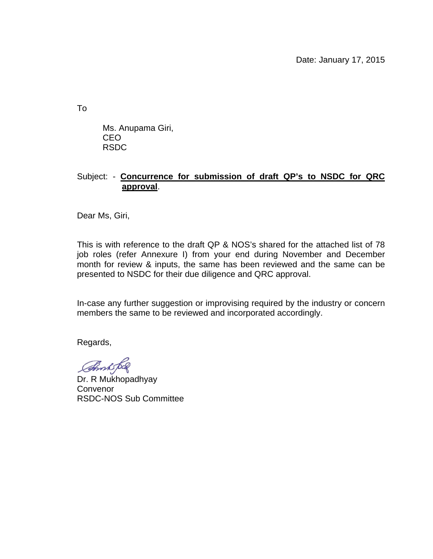Date: January 17, 2015

To

Ms. Anupama Giri, CEO RSDC

## Subject: - **Concurrence for submission of draft QP's to NSDC for QRC approval**.

Dear Ms, Giri,

This is with reference to the draft QP & NOS's shared for the attached list of 78 job roles (refer Annexure I) from your end during November and December month for review & inputs, the same has been reviewed and the same can be presented to NSDC for their due diligence and QRC approval.

In-case any further suggestion or improvising required by the industry or concern members the same to be reviewed and incorporated accordingly.

Regards,

**Amh bol** 

Dr. R Mukhopadhyay **Convenor** RSDC-NOS Sub Committee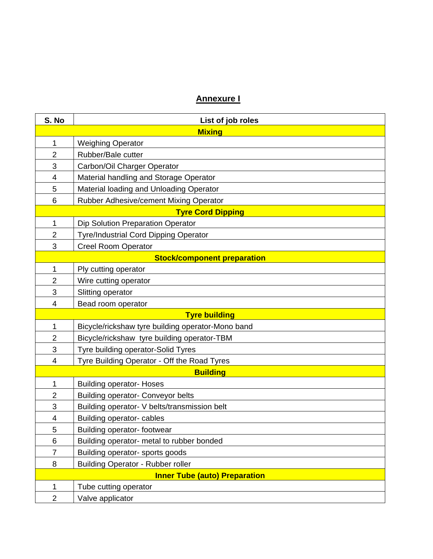## **Annexure I**

| S. No                                | List of job roles                                 |  |
|--------------------------------------|---------------------------------------------------|--|
| <b>Mixing</b>                        |                                                   |  |
| $\mathbf{1}$                         | <b>Weighing Operator</b>                          |  |
| $\overline{2}$                       | Rubber/Bale cutter                                |  |
| 3                                    | Carbon/Oil Charger Operator                       |  |
| $\overline{4}$                       | Material handling and Storage Operator            |  |
| 5                                    | Material loading and Unloading Operator           |  |
| 6                                    | Rubber Adhesive/cement Mixing Operator            |  |
| <b>Tyre Cord Dipping</b>             |                                                   |  |
| $\mathbf{1}$                         | Dip Solution Preparation Operator                 |  |
| $\overline{2}$                       | Tyre/Industrial Cord Dipping Operator             |  |
| 3                                    | <b>Creel Room Operator</b>                        |  |
| <b>Stock/component preparation</b>   |                                                   |  |
| $\mathbf{1}$                         | Ply cutting operator                              |  |
| $\overline{2}$                       | Wire cutting operator                             |  |
| 3                                    | Slitting operator                                 |  |
| $\overline{4}$                       | Bead room operator                                |  |
|                                      | <b>Tyre building</b>                              |  |
| $\mathbf{1}$                         | Bicycle/rickshaw tyre building operator-Mono band |  |
| $\overline{2}$                       | Bicycle/rickshaw tyre building operator-TBM       |  |
| 3                                    | Tyre building operator-Solid Tyres                |  |
| 4                                    | Tyre Building Operator - Off the Road Tyres       |  |
| <b>Building</b>                      |                                                   |  |
| 1                                    | <b>Building operator- Hoses</b>                   |  |
| $\overline{2}$                       | <b>Building operator- Conveyor belts</b>          |  |
| 3                                    | Building operator- V belts/transmission belt      |  |
| 4                                    | Building operator- cables                         |  |
| 5                                    | Building operator- footwear                       |  |
| 6                                    | Building operator- metal to rubber bonded         |  |
| $\overline{7}$                       | Building operator- sports goods                   |  |
| 8                                    | <b>Building Operator - Rubber roller</b>          |  |
| <b>Inner Tube (auto) Preparation</b> |                                                   |  |
| $\mathbf 1$                          | Tube cutting operator                             |  |
| $\overline{c}$                       | Valve applicator                                  |  |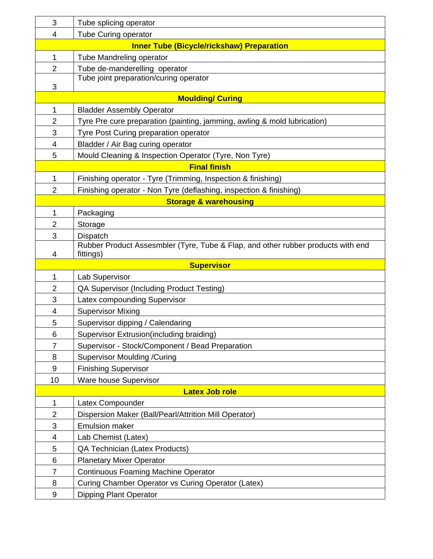| 3                                                | Tube splicing operator                                                           |  |
|--------------------------------------------------|----------------------------------------------------------------------------------|--|
| 4                                                | <b>Tube Curing operator</b>                                                      |  |
| <b>Inner Tube (Bicycle/rickshaw) Preparation</b> |                                                                                  |  |
| $\mathbf{1}$                                     | Tube Mandreling operator                                                         |  |
| $\overline{2}$                                   | Tube de-manderelling operator                                                    |  |
| 3                                                | Tube joint preparation/curing operator                                           |  |
| <b>Moulding/ Curing</b>                          |                                                                                  |  |
| 1                                                | <b>Bladder Assembly Operator</b>                                                 |  |
| 2                                                | Tyre Pre cure preparation (painting, jamming, awling & mold lubrication)         |  |
| 3                                                | Tyre Post Curing preparation operator                                            |  |
| 4                                                | Bladder / Air Bag curing operator                                                |  |
| 5                                                | Mould Cleaning & Inspection Operator (Tyre, Non Tyre)                            |  |
| <b>Final finish</b>                              |                                                                                  |  |
| $\mathbf 1$                                      | Finishing operator - Tyre (Trimming, Inspection & finishing)                     |  |
| $\overline{2}$                                   | Finishing operator - Non Tyre (deflashing, inspection & finishing)               |  |
| <b>Storage &amp; warehousing</b>                 |                                                                                  |  |
| $\mathbf{1}$                                     | Packaging                                                                        |  |
| $\overline{2}$                                   | Storage                                                                          |  |
| 3                                                | Dispatch                                                                         |  |
|                                                  | Rubber Product Assesmbler (Tyre, Tube & Flap, and other rubber products with end |  |
| fittings)<br>4                                   |                                                                                  |  |
|                                                  |                                                                                  |  |
|                                                  | <b>Supervisor</b>                                                                |  |
| 1                                                | Lab Supervisor                                                                   |  |
| $\overline{2}$                                   | QA Supervisor (Including Product Testing)                                        |  |
| 3                                                | Latex compounding Supervisor                                                     |  |
| 4                                                | <b>Supervisor Mixing</b>                                                         |  |
| 5                                                | Supervisor dipping / Calendaring                                                 |  |
| 6                                                | Supervisor Extrusion (including braiding)                                        |  |
| 7                                                | Supervisor - Stock/Component / Bead Preparation                                  |  |
| 8                                                | <b>Supervisor Moulding /Curing</b>                                               |  |
| $\boldsymbol{9}$<br>10                           | <b>Finishing Supervisor</b>                                                      |  |
|                                                  | Ware house Supervisor<br><b>Latex Job role</b>                                   |  |
| 1                                                | Latex Compounder                                                                 |  |
| 2                                                | Dispersion Maker (Ball/Pearl/Attrition Mill Operator)                            |  |
| 3                                                | <b>Emulsion maker</b>                                                            |  |
| 4                                                | Lab Chemist (Latex)                                                              |  |
| 5                                                | <b>QA Technician (Latex Products)</b>                                            |  |
| 6                                                | <b>Planetary Mixer Operator</b>                                                  |  |
| $\overline{7}$                                   | <b>Continuous Foaming Machine Operator</b>                                       |  |
| 8                                                | Curing Chamber Operator vs Curing Operator (Latex)                               |  |